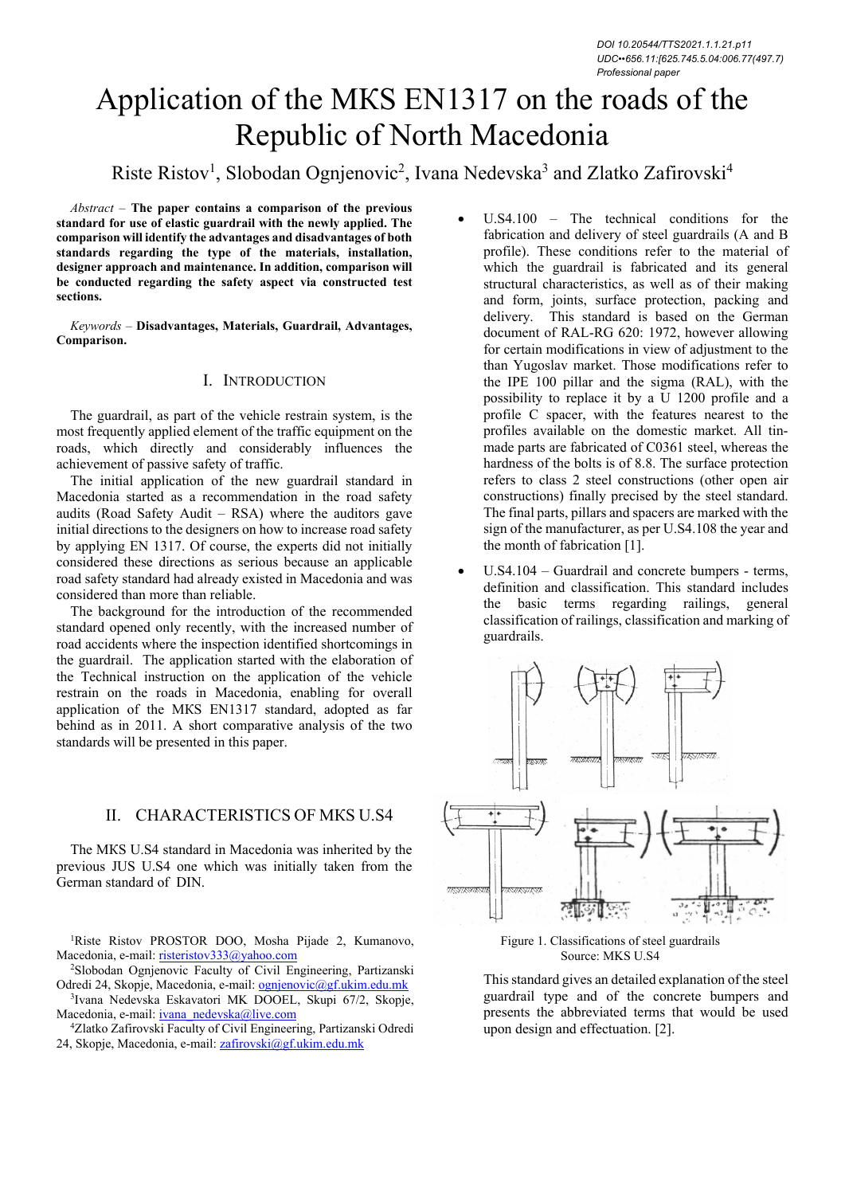# Application of the МКS ЕN1317 on the roads of the Republic of North Macedonia

# Riste Ristov<sup>1</sup>, Slobodan Ognjenovic<sup>2</sup>, Ivana Nedevska<sup>3</sup> and Zlatko Zafirovski<sup>4</sup>

*Abstract –* **The paper contains a comparison of the previous standard for use of elastic guardrail with the newly applied. The comparison will identify the advantages and disadvantages of both standards regarding the type of the materials, installation, designer approach and maintenance. In addition, comparison will be conducted regarding the safety aspect via constructed test sections.** 

*Keywords –* **Disadvantages, Materials, Guardrail, Advantages, Comparison.** 

#### I. INTRODUCTION

The guardrail, as part of the vehicle restrain system, is the most frequently applied element of the traffic equipment on the roads, which directly and considerably influences the achievement of passive safety of traffic.

The initial application of the new guardrail standard in Macedonia started as a recommendation in the road safety audits (Road Safety Audit – RSA) where the auditors gave initial directions to the designers on how to increase road safety by applying EN 1317. Of course, the experts did not initially considered these directions as serious because an applicable road safety standard had already existed in Macedonia and was considered than more than reliable.

The background for the introduction of the recommended standard opened only recently, with the increased number of road accidents where the inspection identified shortcomings in the guardrail. The application started with the elaboration of the Technical instruction on the application of the vehicle restrain on the roads in Macedonia, enabling for overall application of the МКS ЕN1317 standard, adopted as far behind as in 2011. A short comparative analysis of the two standards will be presented in this paper.

#### II. CHARACTERISTICS OF МКS U.S4

The МКS U.S4 standard in Macedonia was inherited by the previous JUS U.S4 one which was initially taken from the German standard of DIN.

<sup>1</sup>Riste Ristov PROSTOR DOO, Mosha Pijade 2, Kumanovo, Macedonia, e-mail: risteristov333@yahoo.com<br><sup>2</sup>Slobodan Ognjenovic Faculty of Civil Engineering, Partizanski

Odredi 24, Skopje, Macedonia, e-mail: ognjenovic@gf.ukim.edu.mk

3Ivana Nedevska Eskavatori MK DOOEL, Skupi 67/2, Skopje,

Macedonia, e-mail: <u>ivana\_nedevska@live.com</u> 4Zlatko Zafirovski Faculty of Civil Engineering, Partizanski Odredi 24, Skopje, Macedonia, e-mail: zafirovski@gf.ukim.edu.mk

- U.S4.100 The technical conditions for the fabrication and delivery of steel guardrails (A and B profile). These conditions refer to the material of which the guardrail is fabricated and its general structural characteristics, as well as of their making and form, joints, surface protection, packing and delivery. This standard is based on the German document of RAL-RG 620: 1972, however allowing for certain modifications in view of adjustment to the than Yugoslav market. Those modifications refer to the IPE 100 pillar and the sigma (RAL), with the possibility to replace it by a U 1200 profile and a profile C spacer, with the features nearest to the profiles available on the domestic market. All tinmade parts are fabricated of C0361 steel, whereas the hardness of the bolts is of 8.8. The surface protection refers to class 2 steel constructions (other open air constructions) finally precised by the steel standard. The final parts, pillars and spacers are marked with the sign of the manufacturer, as per U.S4.108 the year and the month of fabrication [1].
- U.S4.104 Guardrail and concrete bumpers terms, definition and classification. This standard includes the basic terms regarding railings, general classification of railings, classification and marking of guardrails.



Figure 1. Classifications of steel guardrails Source: MKS U.S4

This standard gives an detailed explanation of the steel guardrail type and of the concrete bumpers and presents the abbreviated terms that would be used upon design and effectuation. [2].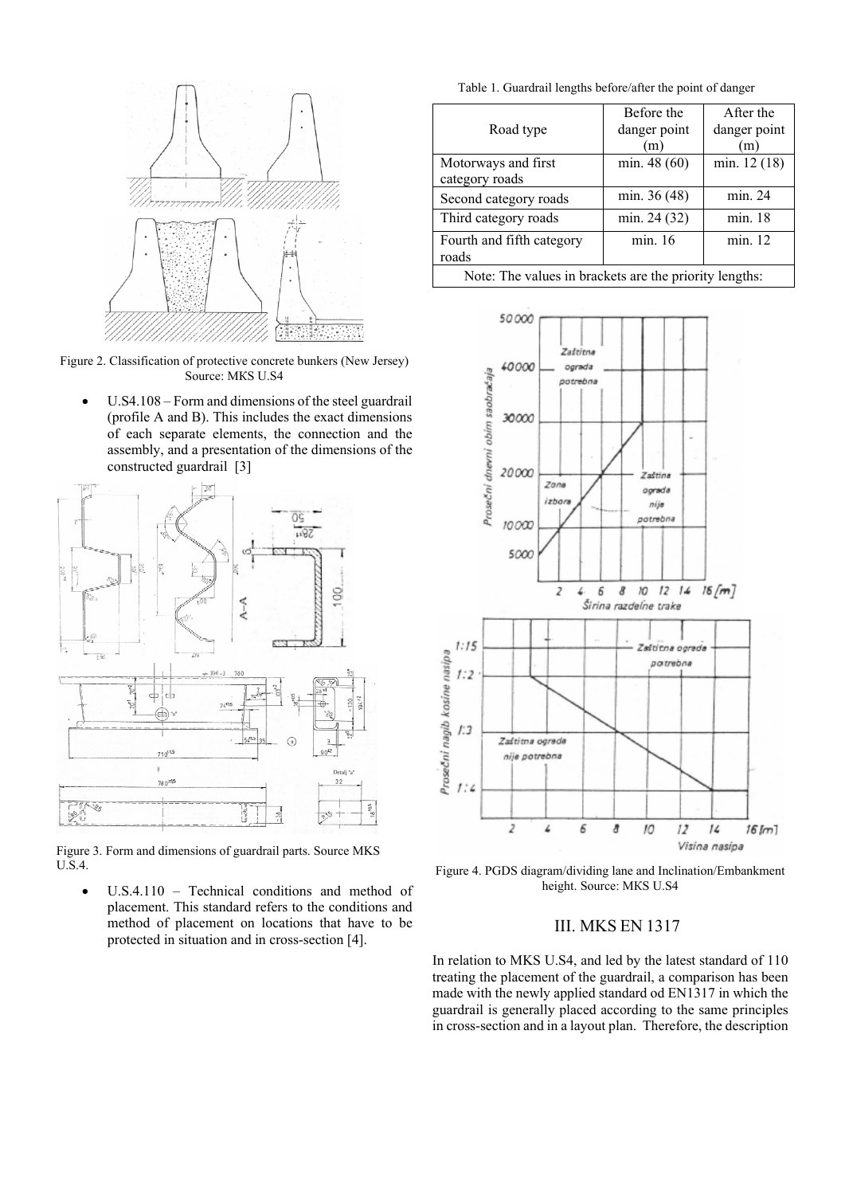

Figure 2. Classification of protective concrete bunkers (New Jersey) Source: МКS U.S4

U.S4.108 – Form and dimensions of the steel guardrail (profile A and B). This includes the exact dimensions of each separate elements, the connection and the assembly, and a presentation of the dimensions of the constructed guardrail [3]



Figure 3. Form and dimensions of guardrail parts. Source MKS U.S.4.

 U.S.4.110 – Technical conditions and method of placement. This standard refers to the conditions and method of placement on locations that have to be protected in situation and in cross-section [4].

Table 1. Guardrail lengths before/after the point of danger

|                                                        | Before the   | After the    |
|--------------------------------------------------------|--------------|--------------|
| Road type                                              | danger point | danger point |
|                                                        | (m)          | m            |
| Motorways and first                                    | min. 48 (60) | min. 12 (18) |
| category roads                                         |              |              |
| Second category roads                                  | min. 36 (48) | min. 24      |
| Third category roads                                   | min. 24 (32) | min. 18      |
| Fourth and fifth category                              | min. 16      | min. 12      |
| roads                                                  |              |              |
| Note: The values in brackets are the priority lengths: |              |              |



Figure 4. PGDS diagram/dividing lane and Inclination/Embankment height. Source: MKS U.S4

## III. MKS EN 1317

In relation to MKS U.S4, and led by the latest standard of 110 treating the placement of the guardrail, a comparison has been made with the newly applied standard od EN1317 in which the guardrail is generally placed according to the same principles in cross-section and in a layout plan. Therefore, the description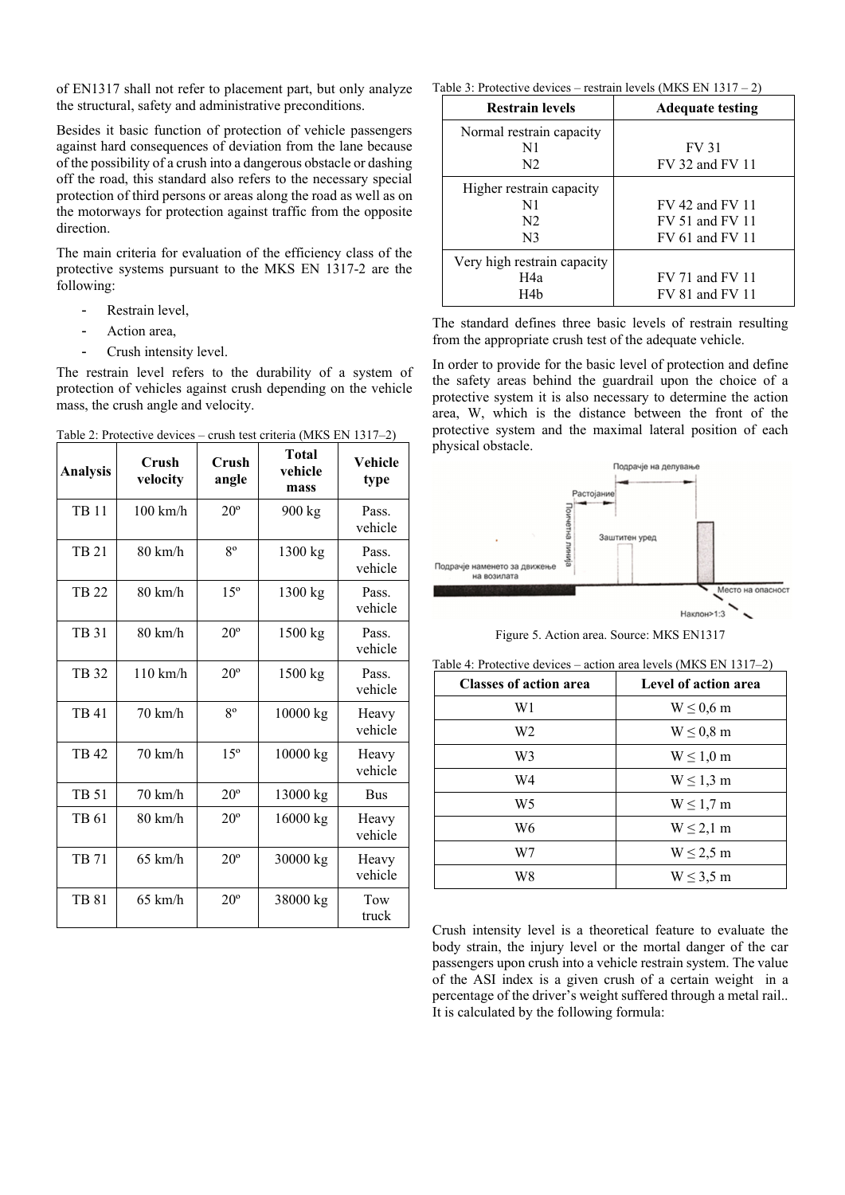of EN1317 shall not refer to placement part, but only analyze the structural, safety and administrative preconditions.

Besides it basic function of protection of vehicle passengers against hard consequences of deviation from the lane because of the possibility of a crush into a dangerous obstacle or dashing off the road, this standard also refers to the necessary special protection of third persons or areas along the road as well as on the motorways for protection against traffic from the opposite direction.

The main criteria for evaluation of the efficiency class of the protective systems pursuant to the MKS EN 1317-2 are the following:

- Restrain level,
- Action area.
- Crush intensity level.

The restrain level refers to the durability of a system of protection of vehicles against crush depending on the vehicle mass, the crush angle and velocity.

**Analysis Crush velocity Crush angle Total vehicle mass Vehicle type**  TB 11 | 100 km/h |  $20^{\circ}$  |  $900 \text{ kg}$  | Pass. vehicle TB 21 |  $80 \text{ km/h}$  |  $8^\circ$  |  $1300 \text{ kg}$  | Pass. vehicle TB 22 | 80 km/h | 15<sup>°</sup> | 1300 kg | Pass. vehicle TB 31  $\vert$  80 km/h  $\vert$  20<sup>°</sup>  $\vert$  1500 kg  $\vert$  Pass. vehicle TB 32 | 110 km/h |  $20^{\circ}$  | 1500 kg | Pass. vehicle TB 41 |  $70 \text{ km/h}$  |  $8^\circ$  |  $10000 \text{ kg}$  Heavy vehicle TB 42  $\begin{array}{|c|c|c|c|c|c|c|c|} \hline \end{array}$  70 km/h  $\begin{array}{|c|c|c|c|c|c|} \hline \end{array}$  10000 kg Heavy vehicle TB 51 | 70 km/h |  $20^{\circ}$  | 13000 kg | Bus TB 61 | 80 km/h |  $20^{\circ}$  | 16000 kg | Heavy vehicle TB 71 | 65 km/h |  $20^{\circ}$  | 30000 kg | Heavy vehicle TB 81 65 km/h  $20^{\circ}$  38000 kg Tow truck

Таble 2: Protective devices – crush test criteria (МКS EN 1317–2)

Table 3: Protective devices – restrain levels (MKS EN 1317 – 2)

| <b>Restrain levels</b>      | <b>Adequate testing</b> |  |
|-----------------------------|-------------------------|--|
| Normal restrain capacity    |                         |  |
| N1                          | <b>FV 31</b>            |  |
| N <sub>2</sub>              | FV 32 and FV 11         |  |
| Higher restrain capacity    |                         |  |
| N1                          | FV 42 and FV 11         |  |
| N <sub>2</sub>              | FV 51 and FV 11         |  |
| N <sub>3</sub>              | FV 61 and FV 11         |  |
| Very high restrain capacity |                         |  |
| H4a                         | FV 71 and FV 11         |  |
| H4b                         | FV 81 and FV 11         |  |

The standard defines three basic levels of restrain resulting from the appropriate crush test of the adequate vehicle.

In order to provide for the basic level of protection and define the safety аreas behind the guardrail upon the choice of a protective system it is also necessary to determine the action area, W, which is the distance between the front of the protective system and the maximal lateral position of each physical obstacle.



Figure 5. Action area. Source: МКS ЕN1317

| <b>Classes of action area</b> | Level of action area |  |
|-------------------------------|----------------------|--|
| W1                            | $W \leq 0.6$ m       |  |
| W <sub>2</sub>                | $W \leq 0.8$ m       |  |
| W3                            | $W \leq 1.0$ m       |  |
| W4                            | $W \leq 1,3$ m       |  |
| W5                            | $W \leq 1.7$ m       |  |
| W6                            | $W \leq 2,1$ m       |  |
| W7                            | $W \leq 2.5$ m       |  |
| W8                            | $W \leq 3.5$ m       |  |

Table 4: Protective devices – action area levels (МКS EN 1317–2)

Crush intensity level is a theoretical feature to evaluate the body strain, the injury level or the mortal danger of the car passengers upon crush into a vehicle restrain system. The value of the ASI index is a given crush of a certain weight in a percentage of the driver's weight suffered through a metal rail.. It is calculated by the following formula: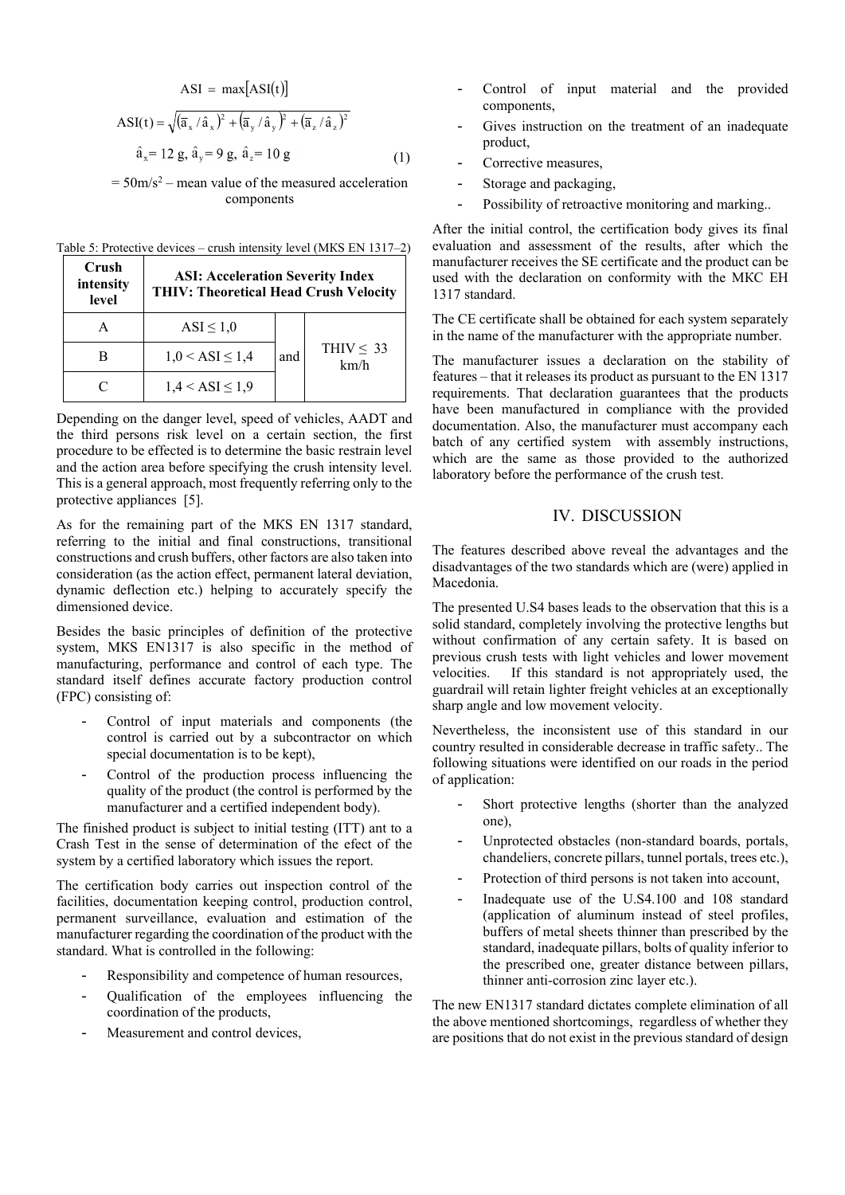$$
ASI = \max[ASI(t)]
$$
  
\n
$$
ASI(t) = \sqrt{(\bar{a}_x / \hat{a}_x)^2 + (\bar{a}_y / \hat{a}_y)^2 + (\bar{a}_z / \hat{a}_z)^2}
$$
  
\n
$$
\hat{a}_x = 12 g, \hat{a}_y = 9 g, \hat{a}_z = 10 g
$$
 (1)

 $= 50 \text{m/s}^2$  – mean value of the measured acceleration components

| Table 5: Protective devices – crush intensity level (MKS EN 1317–2) |  |
|---------------------------------------------------------------------|--|
|---------------------------------------------------------------------|--|

| Crush<br>intensity<br>level | <b>ASI: Acceleration Severity Index</b><br><b>THIV: Theoretical Head Crush Velocity</b> |     |                        |
|-----------------------------|-----------------------------------------------------------------------------------------|-----|------------------------|
|                             | $ASI \leq 1,0$                                                                          |     |                        |
|                             | $1,0 <$ ASI $\leq 1,4$                                                                  | and | THIV $\leq$ 33<br>km/h |
|                             | $1,4 <$ ASI $\leq 1,9$                                                                  |     |                        |

Depending on the danger level, speed of vehicles, AADT and the third persons risk level on a certain section, the first procedure to be effected is to determine the basic restrain level and the action area before specifying the crush intensity level. This is a general approach, most frequently referring only to the protective appliances [5].

As for the remaining part of the МКS ЕN 1317 standard, referring to the initial and final constructions, transitional constructions and crush buffers, other factors are also taken into consideration (as the action effect, permanent lateral deviation, dynamic deflection etc.) helping to accurately specify the dimensioned device.

Besides the basic principles of definition of the protective system, МКS ЕN1317 is also specific in the method of manufacturing, performance and control of each type. The standard itself defines accurate factory production control (FPC) consisting of:

- Control of input materials and components (the control is carried out by a subcontractor on which special documentation is to be kept),
- Control of the production process influencing the quality of the product (the control is performed by the manufacturer and a certified independent body).

The finished product is subject to initial testing (ITT) ant to a Crash Test in the sense of determination of the efect of the system by a certified laboratory which issues the report.

The certification body carries out inspection control of the facilities, documentation keeping control, production control, permanent surveillance, evaluation and estimation of the manufacturer regarding the coordination of the product with the standard. What is controlled in the following:

- Responsibility and competence of human resources,
- Qualification of the employees influencing the coordination of the products,
- Measurement and control devices,
- Control of input material and the provided components,
- Gives instruction on the treatment of an inadequate product,
- Corrective measures,
- Storage and packaging,
- Possibility of retroactive monitoring and marking..

After the initial control, the certification body gives its final evaluation and assessment of the results, after which the manufacturer receives the SЕ certificate and the product can be used with the declaration on conformity with the МКС ЕН 1317 standard.

The CE certificate shall be obtained for each system separately in the name of the manufacturer with the appropriate number.

The manufacturer issues a declaration on the stability of features – that it releases its product as pursuant to the EN 1317 requirements. That declaration guarantees that the products have been manufactured in compliance with the provided documentation. Also, the manufacturer must accompany each batch of any certified system with assembly instructions, which are the same as those provided to the authorized laboratory before the performance of the crush test.

#### IV. DISCUSSION

The features described above reveal the advantages and the disadvantages of the two standards which are (were) applied in Macedonia.

The presented U.S4 bases leads to the observation that this is a solid standard, completely involving the protective lengths but without confirmation of any certain safety. It is based on previous crush tests with light vehicles and lower movement velocities. If this standard is not appropriately used, the guardrail will retain lighter freight vehicles at an exceptionally sharp angle and low movement velocity.

Nevertheless, the inconsistent use of this standard in our country resulted in considerable decrease in traffic safety.. The following situations were identified on our roads in the period of application:

- Short protective lengths (shorter than the analyzed one),
- Unprotected obstacles (non-standard boards, portals, chandeliers, concrete pillars, tunnel portals, trees etc.),
- Protection of third persons is not taken into account,
- Inadequate use of the U.S4.100 and 108 standard (application of aluminum instead of steel profiles, buffers of metal sheets thinner than prescribed by the standard, inadequate pillars, bolts of quality inferior to the prescribed one, greater distance between pillars, thinner anti-corrosion zinc layer etc.).

The new ЕN1317 standard dictates complete elimination of all the above mentioned shortcomings, regardless of whether they are positions that do not exist in the previous standard of design